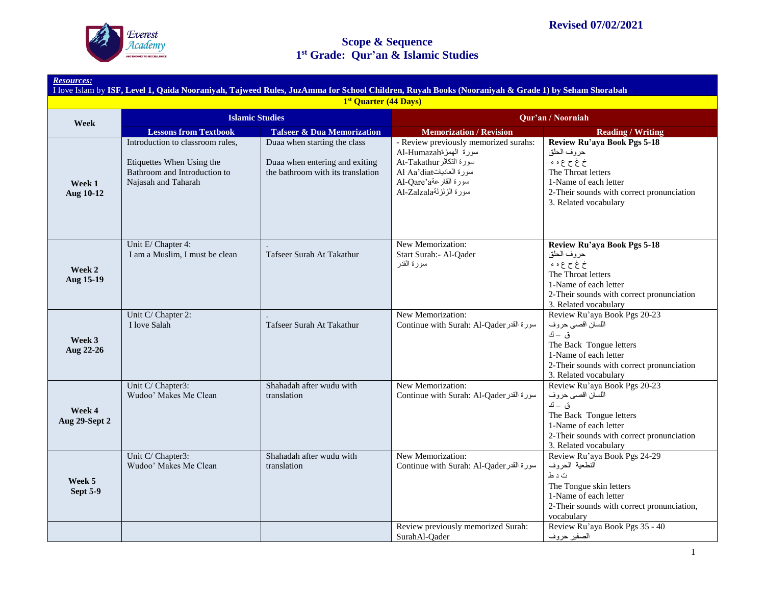

| 1st Quarter (44 Days)     |                                                                                                                      |                                                                                                     |                                                                                                                                                                           |                                                                                                                                                                                     |  |
|---------------------------|----------------------------------------------------------------------------------------------------------------------|-----------------------------------------------------------------------------------------------------|---------------------------------------------------------------------------------------------------------------------------------------------------------------------------|-------------------------------------------------------------------------------------------------------------------------------------------------------------------------------------|--|
| Week                      | <b>Islamic Studies</b>                                                                                               |                                                                                                     | Qur'an / Noorniah                                                                                                                                                         |                                                                                                                                                                                     |  |
|                           | <b>Lessons from Textbook</b>                                                                                         | <b>Tafseer &amp; Dua Memorization</b>                                                               | <b>Memorization / Revision</b>                                                                                                                                            | <b>Reading / Writing</b>                                                                                                                                                            |  |
| Week 1<br>Aug 10-12       | Introduction to classroom rules,<br>Etiquettes When Using the<br>Bathroom and Introduction to<br>Najasah and Taharah | Duaa when starting the class<br>Duaa when entering and exiting<br>the bathroom with its translation | - Review previously memorized surahs:<br>سورة الهمزةAl-Humazah<br>سورة التكاثر At-Takathur<br>سورة العادياتAl Aa'diat<br>سورة القارعة Al-Qare'a<br>سورة الزلزلةAl-Zalzala | Review Ru'aya Book Pgs 5-18<br>حروف الحلق<br>خ غ ح ع ه ء<br>The Throat letters<br>1-Name of each letter<br>2-Their sounds with correct pronunciation<br>3. Related vocabulary       |  |
| Week 2<br>Aug 15-19       | Unit E/ Chapter 4:<br>I am a Muslim, I must be clean                                                                 | Tafseer Surah At Takathur                                                                           | New Memorization:<br>Start Surah: - Al-Oader<br>سورة القدر                                                                                                                | Review Ru'aya Book Pgs 5-18<br>حروف الحلق<br>خ غ ح ع ه ء<br>The Throat letters<br>1-Name of each letter<br>2-Their sounds with correct pronunciation<br>3. Related vocabulary       |  |
| Week 3<br>Aug 22-26       | Unit C/ Chapter 2:<br>I love Salah                                                                                   | Tafseer Surah At Takathur                                                                           | New Memorization:<br>Continue with Surah: Al-Qader                                                                                                                        | Review Ru'aya Book Pgs 20-23<br>اللسان اقصى حروف<br>ق – ك<br>The Back Tongue letters<br>1-Name of each letter<br>2-Their sounds with correct pronunciation<br>3. Related vocabulary |  |
| Week 4<br>Aug 29-Sept 2   | Unit C/ Chapter3:<br>Wudoo' Makes Me Clean                                                                           | Shahadah after wudu with<br>translation                                                             | New Memorization:<br>Continue with Surah: Al-Qader                                                                                                                        | Review Ru'aya Book Pgs 20-23<br>اللسان اقصىي حروف<br>ق ك<br>The Back Tongue letters<br>1-Name of each letter<br>2-Their sounds with correct pronunciation<br>3. Related vocabulary  |  |
| Week 5<br><b>Sept 5-9</b> | Unit C/ Chapter3:<br>Wudoo' Makes Me Clean                                                                           | Shahadah after wudu with<br>translation                                                             | New Memorization:<br>Continue with Surah: Al-Qader                                                                                                                        | Review Ru'aya Book Pgs 24-29<br>النطعية الحروف<br>ت د ط<br>The Tongue skin letters<br>1-Name of each letter<br>2-Their sounds with correct pronunciation,<br>vocabulary             |  |
|                           |                                                                                                                      |                                                                                                     | Review previously memorized Surah:<br>SurahAl-Qader                                                                                                                       | Review Ru'aya Book Pgs 35 - 40<br>الصفير حروف                                                                                                                                       |  |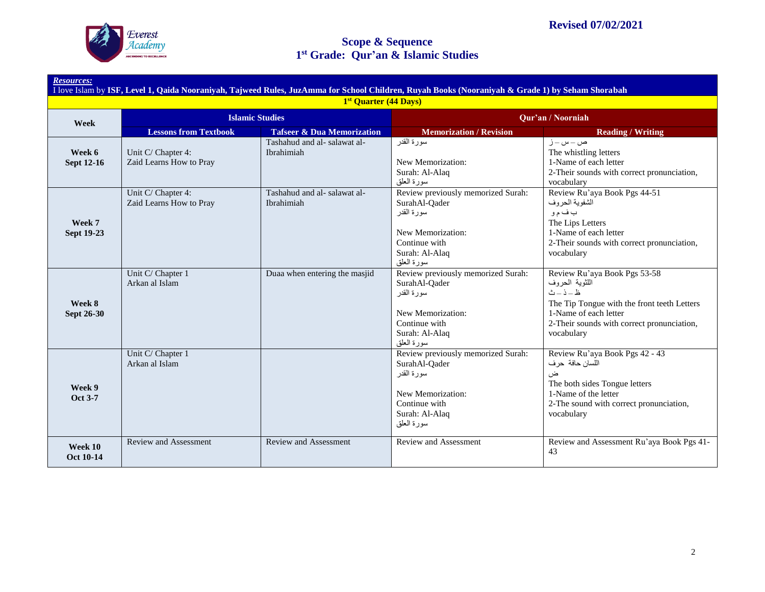

| I love Islam by ISF, Level 1, Qaida Nooraniyah, Tajweed Rules, JuzAmma for School Children, Ruyah Books (Nooraniyah & Grade 1) by Seham Shorabah<br>1st Quarter (44 Days) |                                               |                                           |                                                                                                                                           |                                                                                                                                                                                                   |  |  |
|---------------------------------------------------------------------------------------------------------------------------------------------------------------------------|-----------------------------------------------|-------------------------------------------|-------------------------------------------------------------------------------------------------------------------------------------------|---------------------------------------------------------------------------------------------------------------------------------------------------------------------------------------------------|--|--|
| Week                                                                                                                                                                      | <b>Islamic Studies</b>                        |                                           | Qur'an / Noorniah                                                                                                                         |                                                                                                                                                                                                   |  |  |
|                                                                                                                                                                           | <b>Lessons from Textbook</b>                  | <b>Tafseer &amp; Dua Memorization</b>     | <b>Memorization / Revision</b>                                                                                                            | <b>Reading / Writing</b>                                                                                                                                                                          |  |  |
| Week 6<br><b>Sept 12-16</b>                                                                                                                                               | Unit C/ Chapter 4:<br>Zaid Learns How to Pray | Tashahud and al-salawat al-<br>Ibrahimiah | سورة القدر<br>New Memorization:<br>Surah: Al-Alaq<br>سورة العلق                                                                           | ص ـ س ـ ز<br>The whistling letters<br>1-Name of each letter<br>2-Their sounds with correct pronunciation,<br>vocabulary                                                                           |  |  |
| Week 7<br>Sept 19-23                                                                                                                                                      | Unit C/ Chapter 4:<br>Zaid Learns How to Pray | Tashahud and al-salawat al-<br>Ibrahimiah | Review previously memorized Surah:<br>SurahAl-Qader<br>سور ۃ القدر<br>New Memorization:<br>Continue with<br>Surah: Al-Alaq<br>سورة العلق  | Review Ru'aya Book Pgs 44-51<br>الشفوية الحروف<br>ب ف م و<br>The Lips Letters<br>1-Name of each letter<br>2-Their sounds with correct pronunciation,<br>vocabulary                                |  |  |
| Week 8<br>Sept 26-30                                                                                                                                                      | Unit C/ Chapter 1<br>Arkan al Islam           | Duaa when entering the masjid             | Review previously memorized Surah:<br>SurahAl-Oader<br>سو ر ۃ القدر<br>New Memorization:<br>Continue with<br>Surah: Al-Alaq<br>سورة العلق | Review Ru'aya Book Pgs 53-58<br>اللثوية الحروف<br>$d - i - d$<br>The Tip Tongue with the front teeth Letters<br>1-Name of each letter<br>2-Their sounds with correct pronunciation,<br>vocabulary |  |  |
| Week 9<br><b>Oct 3-7</b>                                                                                                                                                  | Unit C/ Chapter 1<br>Arkan al Islam           |                                           | Review previously memorized Surah:<br>SurahAl-Qader<br>سورة القدر<br>New Memorization:<br>Continue with<br>Surah: Al-Alaq<br>سورة العلق   | Review Ru'aya Book Pgs 42 - 43<br>اللسان حافة حر ف<br>ض<br>The both sides Tongue letters<br>1-Name of the letter<br>2-The sound with correct pronunciation,<br>vocabulary                         |  |  |
| Week 10<br><b>Oct 10-14</b>                                                                                                                                               | Review and Assessment                         | <b>Review and Assessment</b>              | Review and Assessment                                                                                                                     | Review and Assessment Ru'aya Book Pgs 41-<br>43                                                                                                                                                   |  |  |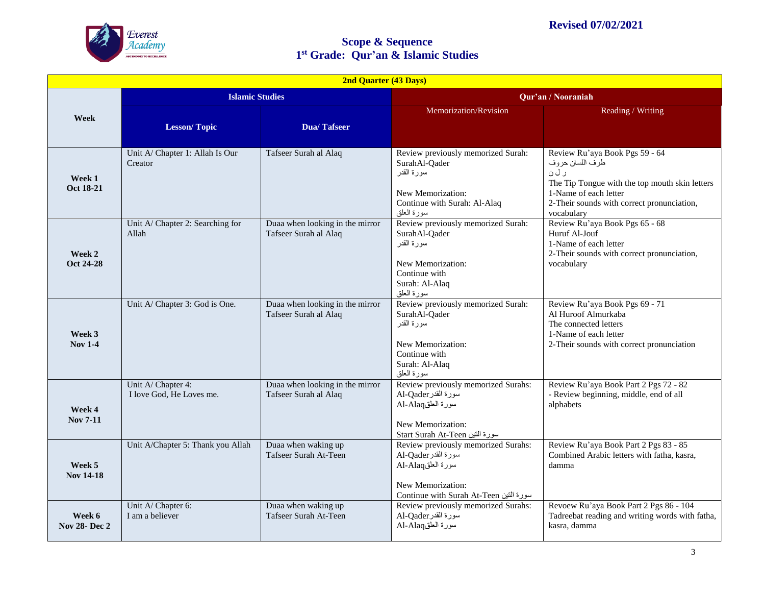

| 2nd Quarter (43 Days)         |                                                |                                                          |                                                                                                                                                |                                                                                                                                                                                                   |  |
|-------------------------------|------------------------------------------------|----------------------------------------------------------|------------------------------------------------------------------------------------------------------------------------------------------------|---------------------------------------------------------------------------------------------------------------------------------------------------------------------------------------------------|--|
|                               | <b>Islamic Studies</b>                         |                                                          |                                                                                                                                                | Qur'an / Nooraniah                                                                                                                                                                                |  |
| Week                          |                                                |                                                          | Memorization/Revision                                                                                                                          | Reading / Writing                                                                                                                                                                                 |  |
|                               | <b>Lesson/Topic</b>                            | <b>Dua/Tafseer</b>                                       |                                                                                                                                                |                                                                                                                                                                                                   |  |
| Week 1<br>Oct 18-21           | Unit A/ Chapter 1: Allah Is Our<br>Creator     | Tafseer Surah al Alaq                                    | Review previously memorized Surah:<br>SurahAl-Qader<br>سورة القدر<br>New Memorization:<br>Continue with Surah: Al-Alaq<br>سورة العلق           | Review Ru'aya Book Pgs 59 - 64<br>طرف اللسان حروف<br>ر ل ن<br>The Tip Tongue with the top mouth skin letters<br>1-Name of each letter<br>2-Their sounds with correct pronunciation,<br>vocabulary |  |
| Week 2<br>Oct 24-28           | Unit A/ Chapter 2: Searching for<br>Allah      | Duaa when looking in the mirror<br>Tafseer Surah al Alaq | Review previously memorized Surah:<br>SurahAl-Qader<br>سورة القدر<br>New Memorization:<br>Continue with<br>Surah: Al-Alaq<br>سورة العلق        | Review Ru'aya Book Pgs 65 - 68<br>Huruf Al-Jouf<br>1-Name of each letter<br>2-Their sounds with correct pronunciation,<br>vocabulary                                                              |  |
| Week 3<br><b>Nov 1-4</b>      | Unit A/ Chapter 3: God is One.                 | Duaa when looking in the mirror<br>Tafseer Surah al Alaq | Review previously memorized Surah:<br>SurahAl-Qader<br>سورة القدر<br>New Memorization:<br>Continue with<br>Surah: Al-Alaq<br>سورة العلق        | Review Ru'aya Book Pgs 69 - 71<br>Al Huroof Almurkaba<br>The connected letters<br>1-Name of each letter<br>2-Their sounds with correct pronunciation                                              |  |
| Week 4<br>Nov 7-11            | Unit A/ Chapter 4:<br>I love God. He Loves me. | Duaa when looking in the mirror<br>Tafseer Surah al Alaq | Review previously memorized Surahs:<br>سورة القدر Al-Qader<br>سورة العلقAl-Alaq<br>New Memorization:<br>Start Surah At-Teen سورة النين         | Review Ru'aya Book Part 2 Pgs 72 - 82<br>- Review beginning, middle, end of all<br>alphabets                                                                                                      |  |
| Week 5<br><b>Nov 14-18</b>    | Unit A/Chapter 5: Thank you Allah              | Duaa when waking up<br>Tafseer Surah At-Teen             | Review previously memorized Surahs:<br>Al-Qader سورة القدر<br>سورة العلقAl-Alaq<br>New Memorization:<br>Continue with Surah At-Teen سورة التين | Review Ru'aya Book Part 2 Pgs 83 - 85<br>Combined Arabic letters with fatha, kasra,<br>damma                                                                                                      |  |
| Week 6<br><b>Nov 28-Dec 2</b> | Unit A/ Chapter 6:<br>I am a believer          | Duaa when waking up<br>Tafseer Surah At-Teen             | Review previously memorized Surahs:<br>M-Qader سورة القدر<br>سورة العلقAl-Alaq                                                                 | Revoew Ru'aya Book Part 2 Pgs 86 - 104<br>Tadreebat reading and writing words with fatha,<br>kasra, damma                                                                                         |  |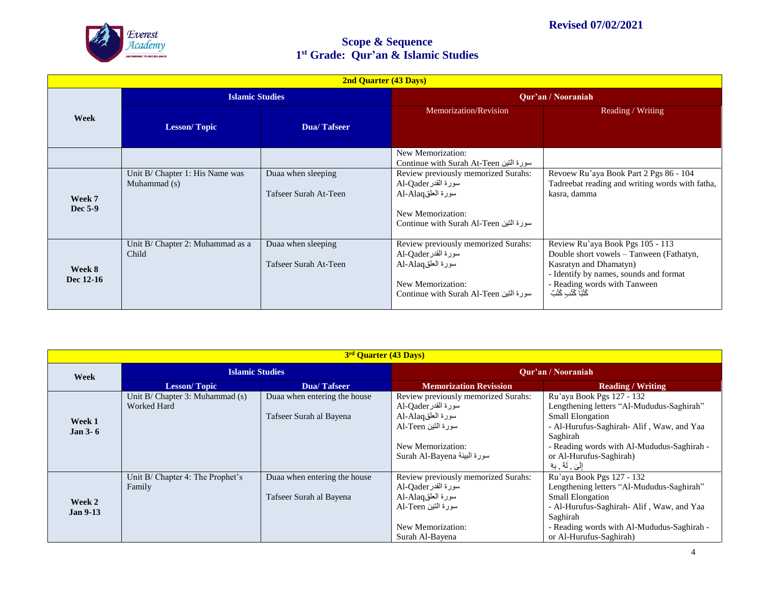

|                     | <b>2nd Quarter (43 Days)</b>                    |                                             |                                                                                                                                                |                                                                                                                                                                                                           |  |  |
|---------------------|-------------------------------------------------|---------------------------------------------|------------------------------------------------------------------------------------------------------------------------------------------------|-----------------------------------------------------------------------------------------------------------------------------------------------------------------------------------------------------------|--|--|
|                     |                                                 | <b>Islamic Studies</b>                      |                                                                                                                                                | Qur'an / Nooraniah                                                                                                                                                                                        |  |  |
| Week                | <b>Lesson/Topic</b>                             | <b>Dua/Tafseer</b>                          | Memorization/Revision                                                                                                                          | Reading / Writing                                                                                                                                                                                         |  |  |
|                     |                                                 |                                             | New Memorization:<br>سورة التين Continue with Surah At-Teen                                                                                    |                                                                                                                                                                                                           |  |  |
| Week 7<br>Dec 5-9   | Unit B/ Chapter 1: His Name was<br>Muhammad (s) | Duaa when sleeping<br>Tafseer Surah At-Teen | Review previously memorized Surahs:<br>سورة القدر Al-Qader<br>سورة العلقAl-Alaq<br>New Memorization:<br>سورة التين Continue with Surah Al-Teen | Revoew Ru'aya Book Part 2 Pgs 86 - 104<br>Tadreebat reading and writing words with fatha,<br>kasra, damma                                                                                                 |  |  |
| Week 8<br>Dec 12-16 | Unit B/ Chapter 2: Muhammad as a<br>Child       | Duaa when sleeping<br>Tafseer Surah At-Teen | Review previously memorized Surahs:<br>سورة القدر Al-Qader<br>سورة العلقAl-Alaq<br>New Memorization:<br>سورة التين Continue with Surah Al-Teen | Review Ru'aya Book Pgs 105 - 113<br>Double short vowels - Tanween (Fathatyn,<br>Kasratyn and Dhamatyn)<br>- Identify by names, sounds and format<br>- Reading words with Tanween<br>كُتُبًا كُتُبِ كُتُبً |  |  |

| 3 <sup>rd</sup> Quarter (43 Days) |                                                    |                                                         |                                                                                                                                                           |                                                                                                                                                                                                                                     |  |
|-----------------------------------|----------------------------------------------------|---------------------------------------------------------|-----------------------------------------------------------------------------------------------------------------------------------------------------------|-------------------------------------------------------------------------------------------------------------------------------------------------------------------------------------------------------------------------------------|--|
| Week                              | <b>Islamic Studies</b>                             |                                                         | <b>Our'an / Nooraniah</b>                                                                                                                                 |                                                                                                                                                                                                                                     |  |
|                                   | <b>Lesson/Topic</b>                                | Dua/Tafseer                                             | <b>Memorization Revission</b>                                                                                                                             | <b>Reading / Writing</b>                                                                                                                                                                                                            |  |
| Week 1<br>Jan $3-6$               | Unit $B/$ Chapter 3: Muhammad $(s)$<br>Worked Hard | Duaa when entering the house<br>Tafseer Surah al Bayena | Review previously memorized Surahs:<br>سورة القدر Al-Qader<br>سورة العلقAl-Alaq<br>سورة التين Al-Teen<br>New Memorization:<br>Surah Al-Bayena سورة البينة | Ru'aya Book Pgs 127 - 132<br>Lengthening letters "Al-Mududus-Saghirah"<br><b>Small Elongation</b><br>- Al-Hurufus-Saghirah- Alif, Waw, and Yaa<br>Saghirah<br>- Reading words with Al-Mududus-Saghirah -<br>or Al-Hurufus-Saghirah) |  |
| Week 2<br><b>Jan 9-13</b>         | Unit B/ Chapter 4: The Prophet's<br>Family         | Duaa when entering the house<br>Tafseer Surah al Bayena | Review previously memorized Surahs:<br>سورة القدر Al-Qader<br>سورة العلقAl-Alaq<br>سورة التين Al-Teen                                                     | إِلَىٰ , لَهُ , بِهِٓ<br>Ru'aya Book Pgs 127 - 132<br>Lengthening letters "Al-Mududus-Saghirah"<br><b>Small Elongation</b><br>- Al-Hurufus-Saghirah- Alif, Waw, and Yaa<br>Saghirah                                                 |  |
|                                   |                                                    |                                                         | New Memorization:<br>Surah Al-Bayena                                                                                                                      | - Reading words with Al-Mududus-Saghirah -<br>or Al-Hurufus-Saghirah)                                                                                                                                                               |  |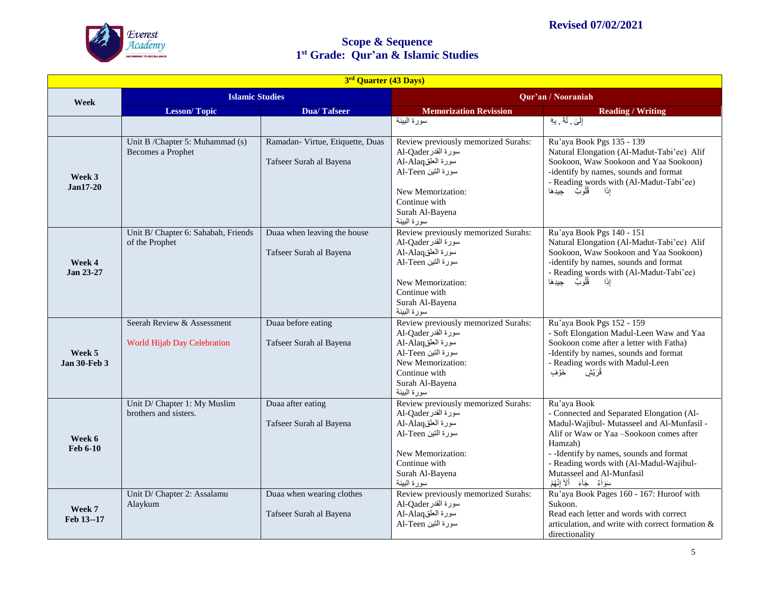

| 3rd Quarter (43 Days)         |                                                                  |                                                             |                                                                                                                                                                               |                                                                                                                                                                                                                                                                                                                             |  |
|-------------------------------|------------------------------------------------------------------|-------------------------------------------------------------|-------------------------------------------------------------------------------------------------------------------------------------------------------------------------------|-----------------------------------------------------------------------------------------------------------------------------------------------------------------------------------------------------------------------------------------------------------------------------------------------------------------------------|--|
| Week                          | <b>Islamic Studies</b>                                           |                                                             | Qur'an / Nooraniah                                                                                                                                                            |                                                                                                                                                                                                                                                                                                                             |  |
|                               | <b>Lesson/Topic</b>                                              | <b>Dua/Tafseer</b>                                          | <b>Memorization Revission</b>                                                                                                                                                 | <b>Reading / Writing</b>                                                                                                                                                                                                                                                                                                    |  |
|                               |                                                                  |                                                             | سورة البينة                                                                                                                                                                   | إِلَىٰ ٫ لَهُ ٫ بِهِ                                                                                                                                                                                                                                                                                                        |  |
| Week 3<br>$Jan17-20$          | Unit B /Chapter 5: Muhammad (s)<br>Becomes a Prophet             | Ramadan- Virtue, Etiquette, Duas<br>Tafseer Surah al Bayena | Review previously memorized Surahs:<br>سورة القدر Al-Qader<br>سورة العلقAl-Alaq<br>سورة التين Al-Teen<br>New Memorization:<br>Continue with<br>Surah Al-Bayena<br>سورة البينة | Ru'aya Book Pgs 135 - 139<br>Natural Elongation (Al-Madut-Tabi'ee) Alif<br>Sookoon, Waw Sookoon and Yaa Sookoon)<br>-identify by names, sounds and format<br>- Reading words with (Al-Madut-Tabi'ee)<br>قُلُوبٌ جيدِهَا<br>إذًا                                                                                             |  |
| Week 4<br>Jan 23-27           | Unit B/ Chapter 6: Sahabah, Friends<br>of the Prophet            | Duaa when leaving the house<br>Tafseer Surah al Bayena      | Review previously memorized Surahs:<br>سورة القدر Al-Qader<br>سورة العلقAl-Alaq<br>سورة التين Al-Teen<br>New Memorization:<br>Continue with<br>Surah Al-Bayena<br>سورة البينة | Ru'aya Book Pgs 140 - 151<br>Natural Elongation (Al-Madut-Tabi'ee) Alif<br>Sookoon, Waw Sookoon and Yaa Sookoon)<br>-identify by names, sounds and format<br>- Reading words with (Al-Madut-Tabi'ee)<br>قُلُوبٌ جيدِهَا<br>إذًا                                                                                             |  |
| Week 5<br><b>Jan 30-Feb 3</b> | Seerah Review & Assessment<br><b>World Hijab Day Celebration</b> | Duaa before eating<br>Tafseer Surah al Bayena               | Review previously memorized Surahs:<br>سورة القدر Al-Qader<br>سورة العلقAl-Alaq<br>سورة التين Al-Teen<br>New Memorization:<br>Continue with<br>Surah Al-Bayena<br>سورة البينة | Ru'aya Book Pgs 152 - 159<br>- Soft Elongation Madul-Leen Waw and Yaa<br>Sookoon come after a letter with Fatha)<br>-Identify by names, sounds and format<br>- Reading words with Madul-Leen<br>ڨُرَيَش<br>خَرَفٍ                                                                                                           |  |
| Week 6<br>Feb 6-10            | Unit D/ Chapter 1: My Muslim<br>brothers and sisters.            | Duaa after eating<br>Tafseer Surah al Bayena                | Review previously memorized Surahs:<br>سورة القدر Al-Qader<br>سورة العلقAl-Alaq<br>سورة التين Al-Teen<br>New Memorization:<br>Continue with<br>Surah Al-Bayena<br>سورة البينة | Ru'aya Book<br>- Connected and Separated Elongation (Al-<br>Madul-Wajibul- Mutasseel and Al-Munfasil -<br>Alif or Waw or Yaa -Sookoon comes after<br>Hamzah)<br>- - Identify by names, sounds and format<br>- Reading words with (Al-Madul-Wajibul-<br>Mutasseel and Al-Munfasil<br>سَوَأَمٌ    جَأَءَ     أَلَأَ إِنَّهُمْ |  |
| Week 7<br>Feb 13--17          | Unit D/ Chapter 2: Assalamu<br>Alaykum                           | Duaa when wearing clothes<br>Tafseer Surah al Bayena        | Review previously memorized Surahs:<br>سورة القدر Al-Qader<br>سورة العلقAl-Alaq<br>سورة التين Al-Teen                                                                         | Ru'aya Book Pages 160 - 167: Huroof with<br>Sukoon.<br>Read each letter and words with correct<br>articulation, and write with correct formation &<br>directionality                                                                                                                                                        |  |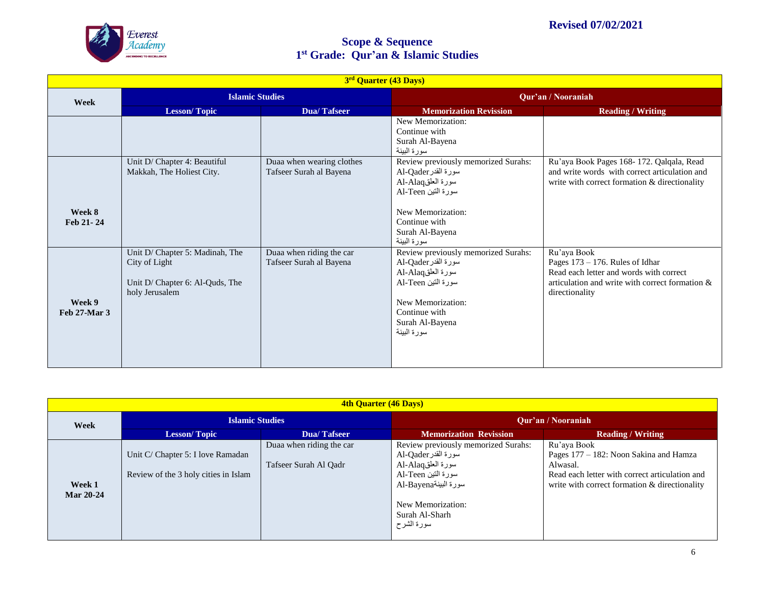

| 3rd Quarter (43 Days)  |                                                                                                       |                                                      |                                                                                                                                                                               |                                                                                                                                                                   |  |
|------------------------|-------------------------------------------------------------------------------------------------------|------------------------------------------------------|-------------------------------------------------------------------------------------------------------------------------------------------------------------------------------|-------------------------------------------------------------------------------------------------------------------------------------------------------------------|--|
| Week                   | <b>Islamic Studies</b>                                                                                |                                                      | Qur'an / Nooraniah                                                                                                                                                            |                                                                                                                                                                   |  |
|                        | <b>Lesson/Topic</b>                                                                                   | <b>Dua/Tafseer</b>                                   | <b>Memorization Revission</b>                                                                                                                                                 | <b>Reading / Writing</b>                                                                                                                                          |  |
|                        |                                                                                                       |                                                      | New Memorization:<br>Continue with<br>Surah Al-Bayena<br>سورة البينة                                                                                                          |                                                                                                                                                                   |  |
| Week 8                 | Unit D/ Chapter 4: Beautiful<br>Makkah, The Holiest City.                                             | Duaa when wearing clothes<br>Tafseer Surah al Bayena | Review previously memorized Surahs:<br>سورة القدر Al-Qader<br>سورة العلقAl-Alaq<br>سورة التين Al-Teen<br>New Memorization:                                                    | Ru'aya Book Pages 168-172. Qalqala, Read<br>and write words with correct articulation and<br>write with correct formation & directionality                        |  |
| Feb 21-24              |                                                                                                       |                                                      | Continue with<br>Surah Al-Bayena<br>سورة البينة                                                                                                                               |                                                                                                                                                                   |  |
| Week 9<br>Feb 27-Mar 3 | Unit D/ Chapter 5: Madinah, The<br>City of Light<br>Unit D/ Chapter 6: Al-Quds, The<br>holy Jerusalem | Duaa when riding the car<br>Tafseer Surah al Bayena  | Review previously memorized Surahs:<br>سورة القدر Al-Qader<br>سورة العلقAl-Alaq<br>سورة التين Al-Teen<br>New Memorization:<br>Continue with<br>Surah Al-Bayena<br>سورة البينة | Ru'aya Book<br>Pages $173 - 176$ . Rules of Idhar<br>Read each letter and words with correct<br>articulation and write with correct formation &<br>directionality |  |

| <b>4th Quarter (46 Days)</b> |                                                                           |                                                   |                                                                                                                                                                                    |                                                                                                                                                                      |  |  |
|------------------------------|---------------------------------------------------------------------------|---------------------------------------------------|------------------------------------------------------------------------------------------------------------------------------------------------------------------------------------|----------------------------------------------------------------------------------------------------------------------------------------------------------------------|--|--|
| Week                         | <b>Islamic Studies</b>                                                    |                                                   | <b>Our'an / Nooraniah</b>                                                                                                                                                          |                                                                                                                                                                      |  |  |
|                              | <b>Lesson/Topic</b>                                                       | <b>Dua/Tafseer</b>                                | <b>Memorization Revission</b>                                                                                                                                                      | <b>Reading / Writing</b>                                                                                                                                             |  |  |
| Week 1<br><b>Mar 20-24</b>   | Unit C/ Chapter 5: I love Ramadan<br>Review of the 3 holy cities in Islam | Duaa when riding the car<br>Tafseer Surah Al Qadr | Review previously memorized Surahs:<br>سورة القدر Al-Qader<br>سورة العلقAl-Alaq<br>سورة التين Al-Teen<br>سورة البينةAl-Bayena<br>New Memorization:<br>Surah Al-Sharh<br>سورة الشرح | Ru'aya Book<br>Pages 177 – 182: Noon Sakina and Hamza<br>Alwasal.<br>Read each letter with correct articulation and<br>write with correct formation & directionality |  |  |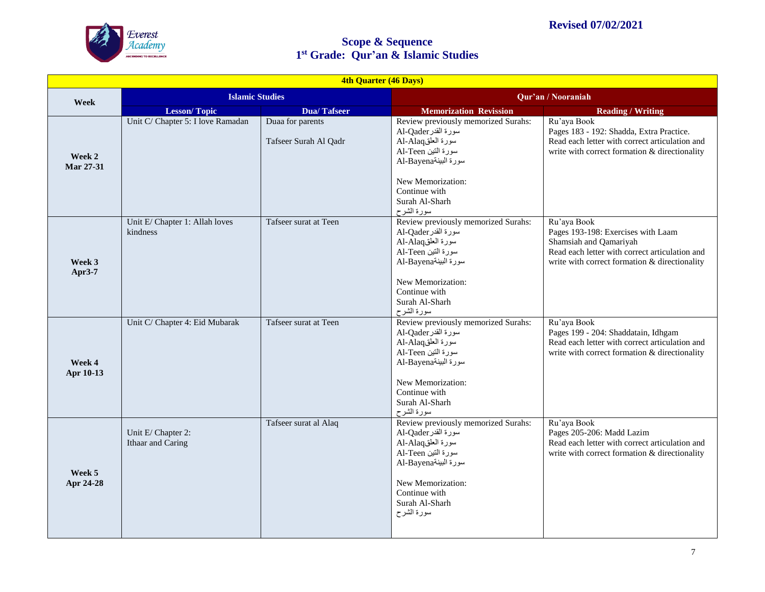

| 4th Quarter (46 Days) |                                            |                                           |                                                                                                                                                                                                     |                                                                                                                                                                                |  |
|-----------------------|--------------------------------------------|-------------------------------------------|-----------------------------------------------------------------------------------------------------------------------------------------------------------------------------------------------------|--------------------------------------------------------------------------------------------------------------------------------------------------------------------------------|--|
| Week                  | <b>Islamic Studies</b>                     |                                           | Qur'an / Nooraniah                                                                                                                                                                                  |                                                                                                                                                                                |  |
|                       | <b>Lesson/Topic</b>                        | <b>Dua/Tafseer</b>                        | <b>Memorization Revission</b>                                                                                                                                                                       | <b>Reading / Writing</b>                                                                                                                                                       |  |
| Week 2<br>Mar 27-31   | Unit C/ Chapter 5: I love Ramadan          | Duaa for parents<br>Tafseer Surah Al Qadr | Review previously memorized Surahs:<br>سورة القدر Al-Qader<br>سورة العلقAl-Alaq<br>سورة التين Al-Teen<br>سورة البينةAl-Bayena<br>New Memorization:<br>Continue with<br>Surah Al-Sharh<br>سورة الشرح | Ru'aya Book<br>Pages 183 - 192: Shadda, Extra Practice.<br>Read each letter with correct articulation and<br>write with correct formation & directionality                     |  |
| Week 3<br>Apr3-7      | Unit E/ Chapter 1: Allah loves<br>kindness | Tafseer surat at Teen                     | Review previously memorized Surahs:<br>سورة القدر Al-Qader<br>سورة العلقAl-Alaq<br>سورة التين Al-Teen<br>سورة البينةAl-Bayena<br>New Memorization:<br>Continue with<br>Surah Al-Sharh<br>سورة الشرح | Ru'aya Book<br>Pages 193-198: Exercises with Laam<br>Shamsiah and Qamariyah<br>Read each letter with correct articulation and<br>write with correct formation & directionality |  |
| Week 4<br>Apr 10-13   | Unit C/ Chapter 4: Eid Mubarak             | Tafseer surat at Teen                     | Review previously memorized Surahs:<br>Al-Qader سورة القدر<br>سورة العلقAl-Alaq<br>سورة التين Al-Teen<br>سورة البينةAl-Bayena<br>New Memorization:<br>Continue with<br>Surah Al-Sharh<br>سورة الشرح | Ru'aya Book<br>Pages 199 - 204: Shaddatain, Idhgam<br>Read each letter with correct articulation and<br>write with correct formation & directionality                          |  |
| Week 5<br>Apr 24-28   | Unit E/ Chapter 2:<br>Ithaar and Caring    | Tafseer surat al Alaq                     | Review previously memorized Surahs:<br>سورة القدر Al-Qader<br>سورة العلقAl-Alaq<br>سورة التين Al-Teen<br>سورة البينةAl-Bayena<br>New Memorization:<br>Continue with<br>Surah Al-Sharh<br>سورة الشرح | Ru'aya Book<br>Pages 205-206: Madd Lazim<br>Read each letter with correct articulation and<br>write with correct formation & directionality                                    |  |